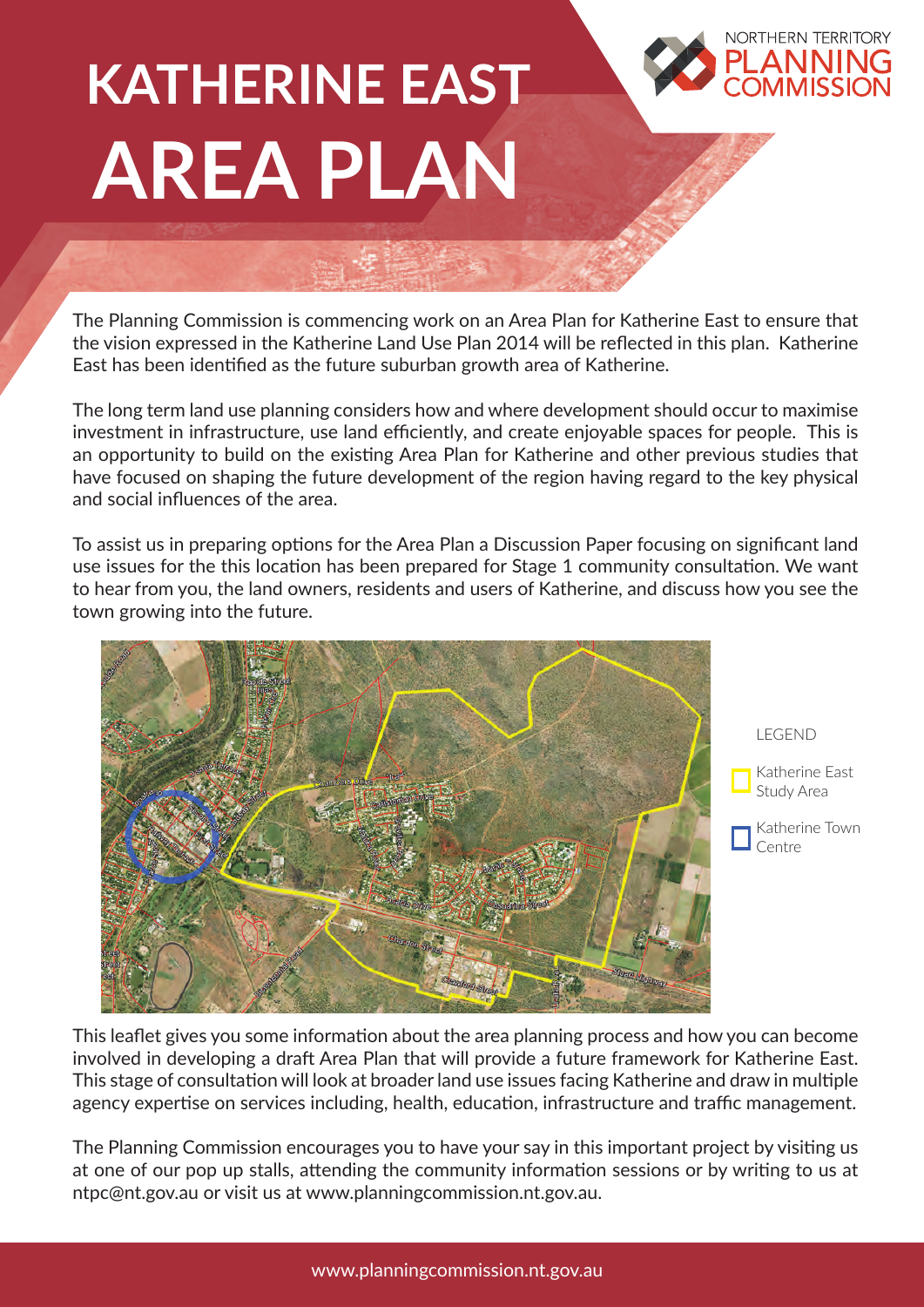## **KATHERINE EAST AREA PLAN**

The Planning Commission is commencing work on an Area Plan for Katherine East to ensure that the vision expressed in the Katherine Land Use Plan 2014 will be reflected in this plan. Katherine East has been identified as the future suburban growth area of Katherine.

The long term land use planning considers how and where development should occur to maximise investment in infrastructure, use land efficiently, and create enjoyable spaces for people. This is an opportunity to build on the existing Area Plan for Katherine and other previous studies that have focused on shaping the future development of the region having regard to the key physical and social influences of the area.

To assist us in preparing options for the Area Plan a Discussion Paper focusing on significant land use issues for the this location has been prepared for Stage 1 community consultation. We want to hear from you, the land owners, residents and users of Katherine, and discuss how you see the town growing into the future.



LEGEND Katherine East Study Area Katherine Town Centre

**NORTHERN TERRITORY** 

This leaflet gives you some information about the area planning process and how you can become involved in developing a draft Area Plan that will provide a future framework for Katherine East. This stage of consultation will look at broader land use issues facing Katherine and draw in multiple agency expertise on services including, health, education, infrastructure and traffic management.

The Planning Commission encourages you to have your say in this important project by visiting us at one of our pop up stalls, attending the community information sessions or by writing to us at ntpc@nt.gov.au or visit us at www.planningcommission.nt.gov.au.